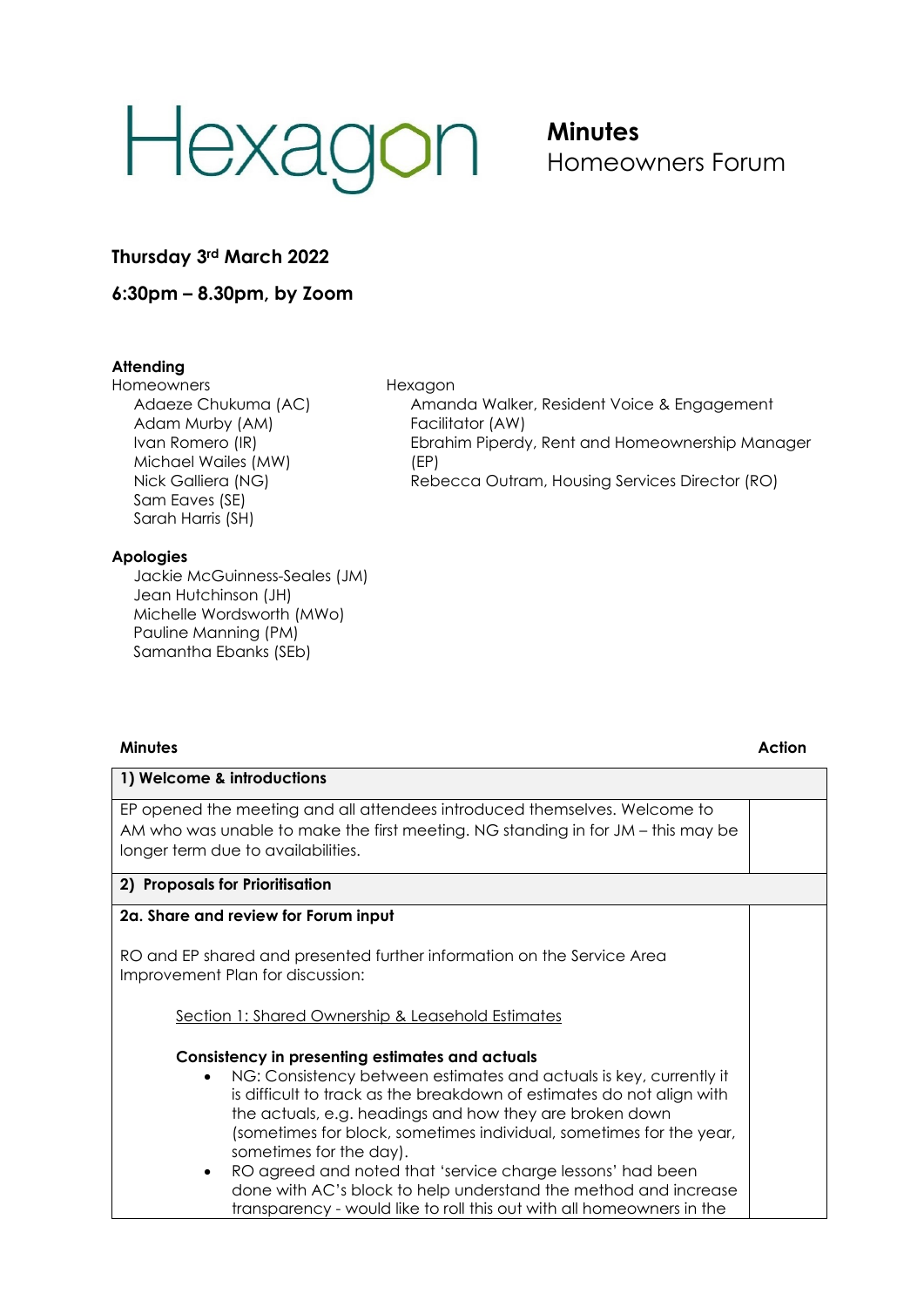# Hexagon

## **Minutes** Homeowners Forum

Amanda Walker, Resident Voice & Engagement

Rebecca Outram, Housing Services Director (RO)

Ebrahim Piperdy, Rent and Homeownership Manager

**Thursday 3rd March 2022**

**6:30pm – 8.30pm, by Zoom**

### **Attending**

**Homeowners** Adaeze Chukuma (AC) Adam Murby (AM) Ivan Romero (IR) Michael Wailes (MW) Nick Galliera (NG) Sam Eaves (SE) Sarah Harris (SH)

Hexagon

(EP)

Facilitator (AW)

#### **Apologies**

Jackie McGuinness-Seales (JM) Jean Hutchinson (JH) Michelle Wordsworth (MWo) Pauline Manning (PM) Samantha Ebanks (SEb)

#### **Minutes Action**

| 1) Welcome & introductions                                                                                                                                                                                                                                                                                                                                                                                                                     |  |
|------------------------------------------------------------------------------------------------------------------------------------------------------------------------------------------------------------------------------------------------------------------------------------------------------------------------------------------------------------------------------------------------------------------------------------------------|--|
| EP opened the meeting and all attendees introduced themselves. Welcome to<br>AM who was unable to make the first meeting. NG standing in for JM – this may be<br>longer term due to availabilities.                                                                                                                                                                                                                                            |  |
| 2) Proposals for Prioritisation                                                                                                                                                                                                                                                                                                                                                                                                                |  |
| 2a. Share and review for Forum input                                                                                                                                                                                                                                                                                                                                                                                                           |  |
| RO and EP shared and presented further information on the Service Area<br>Improvement Plan for discussion:                                                                                                                                                                                                                                                                                                                                     |  |
| Section 1: Shared Ownership & Leasehold Estimates                                                                                                                                                                                                                                                                                                                                                                                              |  |
| Consistency in presenting estimates and actuals                                                                                                                                                                                                                                                                                                                                                                                                |  |
| NG: Consistency between estimates and actuals is key, currently it<br>is difficult to track as the breakdown of estimates do not align with<br>the actuals, e.g. headings and how they are broken down<br>(sometimes for block, sometimes individual, sometimes for the year,<br>sometimes for the day).<br>RO agreed and noted that 'service charge lessons' had been<br>٠<br>done with AC's block to help understand the method and increase |  |

transparency - would like to roll this out with all homeowners in the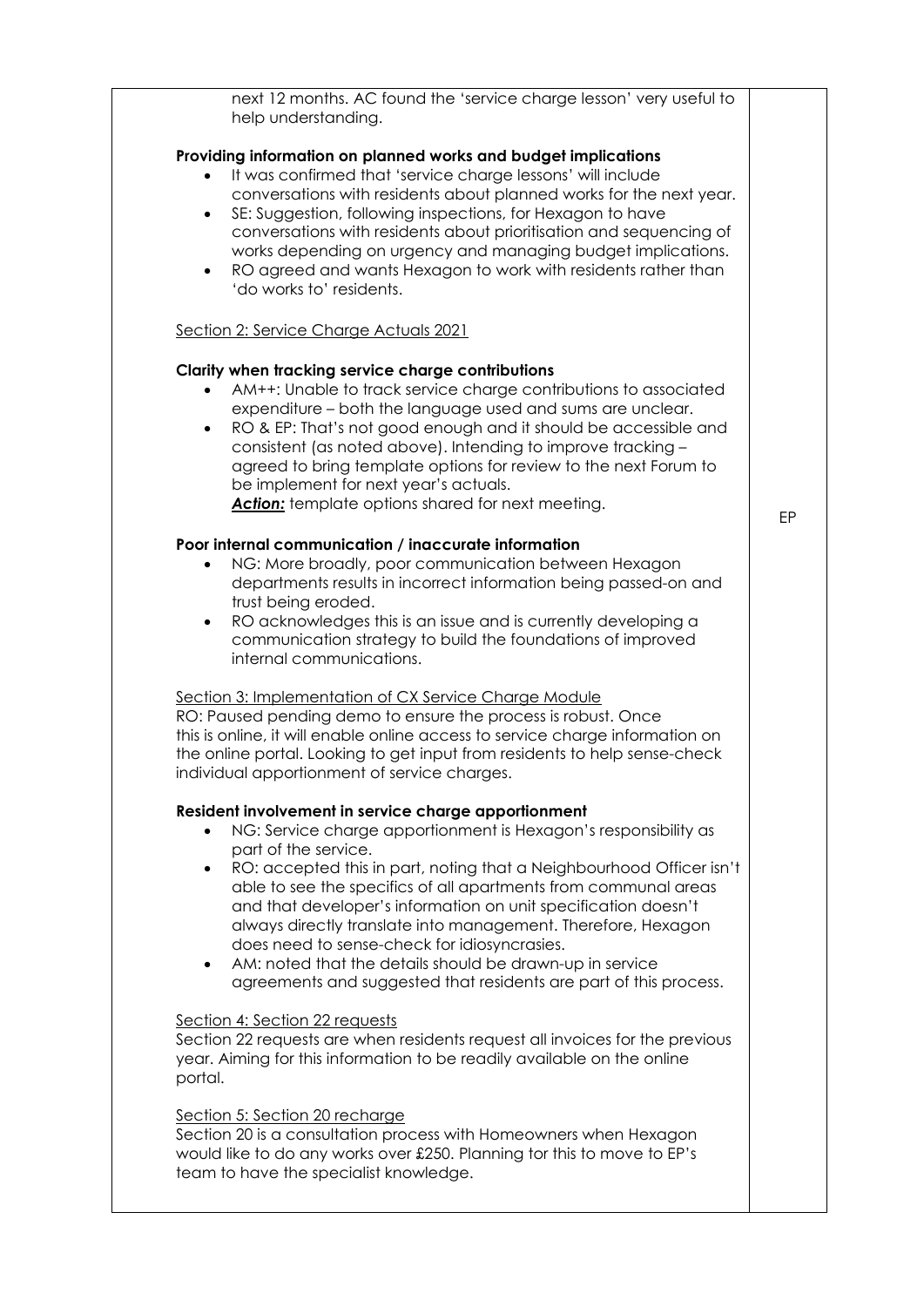next 12 months. AC found the 'service charge lesson' very useful to help understanding.

#### **Providing information on planned works and budget implications**

- It was confirmed that 'service charge lessons' will include conversations with residents about planned works for the next year.
- SE: Suggestion, following inspections, for Hexagon to have conversations with residents about prioritisation and sequencing of works depending on urgency and managing budget implications.
- RO agreed and wants Hexagon to work with residents rather than 'do works to' residents.

#### Section 2: Service Charge Actuals 2021

#### **Clarity when tracking service charge contributions**

- AM++: Unable to track service charge contributions to associated expenditure – both the language used and sums are unclear.
- RO & EP: That's not good enough and it should be accessible and consistent (as noted above). Intending to improve tracking – agreed to bring template options for review to the next Forum to be implement for next year's actuals. Action: template options shared for next meeting.

#### **Poor internal communication / inaccurate information**

- NG: More broadly, poor communication between Hexagon departments results in incorrect information being passed-on and trust being eroded.
- RO acknowledges this is an issue and is currently developing a communication strategy to build the foundations of improved internal communications.

#### Section 3: Implementation of CX Service Charge Module

RO: Paused pending demo to ensure the process is robust. Once this is online, it will enable online access to service charge information on the online portal. Looking to get input from residents to help sense-check individual apportionment of service charges.

#### **Resident involvement in service charge apportionment**

- NG: Service charge apportionment is Hexagon's responsibility as part of the service.
- RO: accepted this in part, noting that a Neighbourhood Officer isn't able to see the specifics of all apartments from communal areas and that developer's information on unit specification doesn't always directly translate into management. Therefore, Hexagon does need to sense-check for idiosyncrasies.
- AM: noted that the details should be drawn-up in service agreements and suggested that residents are part of this process.

#### Section 4: Section 22 requests

Section 22 requests are when residents request all invoices for the previous year. Aiming for this information to be readily available on the online portal.

#### Section 5: Section 20 recharge

Section 20 is a consultation process with Homeowners when Hexagon would like to do any works over £250. Planning tor this to move to EP's team to have the specialist knowledge.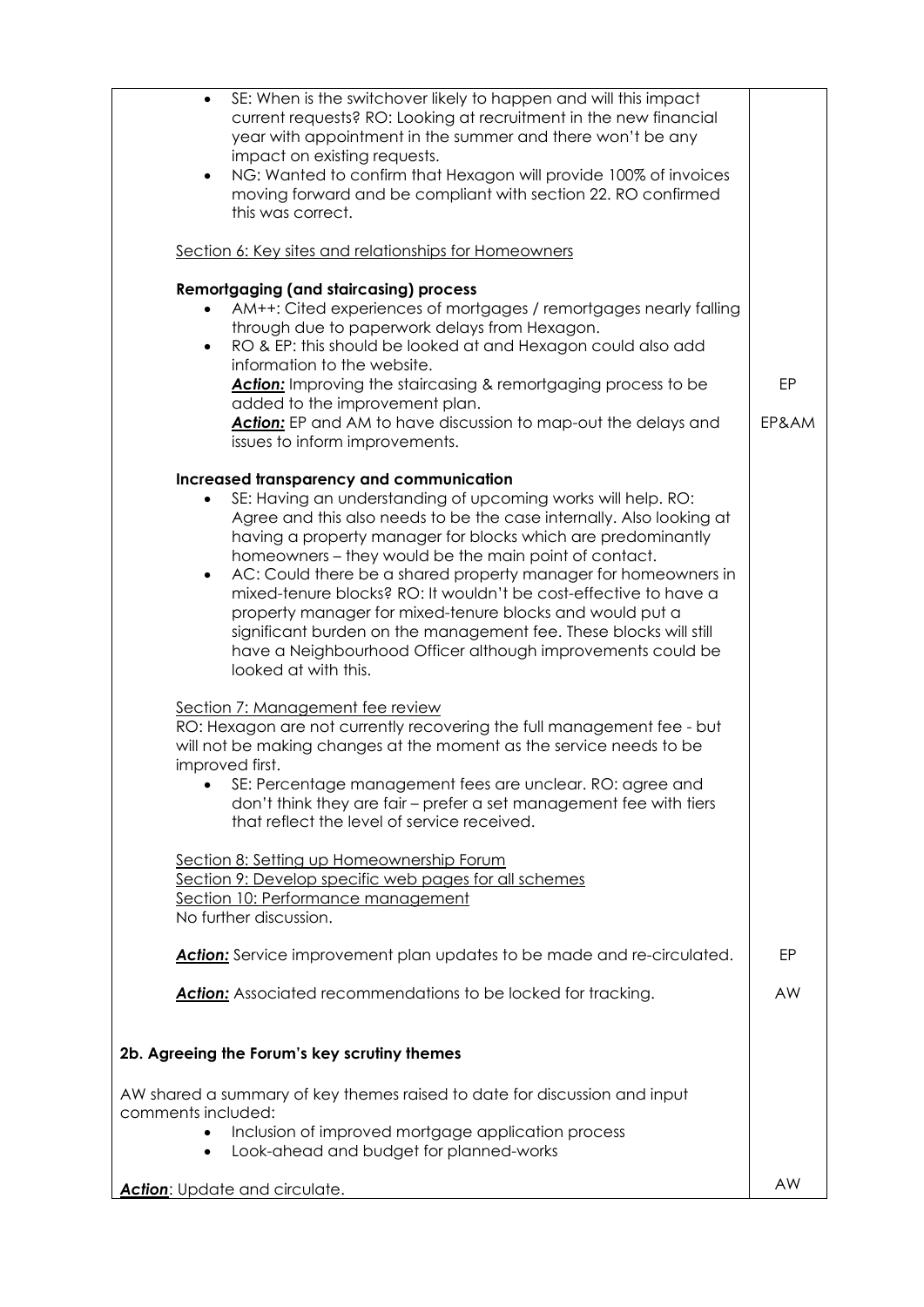| SE: When is the switchover likely to happen and will this impact<br>$\bullet$<br>current requests? RO: Looking at recruitment in the new financial<br>year with appointment in the summer and there won't be any<br>impact on existing requests.                                                                                                                                                                                                                                                                                                                                                                                                                                                  |           |
|---------------------------------------------------------------------------------------------------------------------------------------------------------------------------------------------------------------------------------------------------------------------------------------------------------------------------------------------------------------------------------------------------------------------------------------------------------------------------------------------------------------------------------------------------------------------------------------------------------------------------------------------------------------------------------------------------|-----------|
| NG: Wanted to confirm that Hexagon will provide 100% of invoices<br>$\bullet$<br>moving forward and be compliant with section 22. RO confirmed<br>this was correct.                                                                                                                                                                                                                                                                                                                                                                                                                                                                                                                               |           |
| Section 6: Key sites and relationships for Homeowners                                                                                                                                                                                                                                                                                                                                                                                                                                                                                                                                                                                                                                             |           |
| <b>Remortgaging (and staircasing) process</b><br>AM++: Cited experiences of mortgages / remortgages nearly falling<br>through due to paperwork delays from Hexagon.<br>RO & EP: this should be looked at and Hexagon could also add<br>$\bullet$                                                                                                                                                                                                                                                                                                                                                                                                                                                  |           |
| information to the website.<br>Action: Improving the staircasing & remortgaging process to be<br>added to the improvement plan.                                                                                                                                                                                                                                                                                                                                                                                                                                                                                                                                                                   | EP        |
| Action: EP and AM to have discussion to map-out the delays and<br>issues to inform improvements.                                                                                                                                                                                                                                                                                                                                                                                                                                                                                                                                                                                                  | EP&AM     |
| Increased transparency and communication<br>SE: Having an understanding of upcoming works will help. RO:<br>$\bullet$<br>Agree and this also needs to be the case internally. Also looking at<br>having a property manager for blocks which are predominantly<br>homeowners – they would be the main point of contact.<br>AC: Could there be a shared property manager for homeowners in<br>$\bullet$<br>mixed-tenure blocks? RO: It wouldn't be cost-effective to have a<br>property manager for mixed-tenure blocks and would put a<br>significant burden on the management fee. These blocks will still<br>have a Neighbourhood Officer although improvements could be<br>looked at with this. |           |
| Section 7: Management fee review<br>RO: Hexagon are not currently recovering the full management fee - but<br>will not be making changes at the moment as the service needs to be<br>improved first.<br>SE: Percentage management fees are unclear. RO: agree and<br>don't think they are fair – prefer a set management fee with tiers<br>that reflect the level of service received.                                                                                                                                                                                                                                                                                                            |           |
| Section 8: Setting up Homeownership Forum<br>Section 9: Develop specific web pages for all schemes<br>Section 10: Performance management<br>No further discussion.                                                                                                                                                                                                                                                                                                                                                                                                                                                                                                                                |           |
| <b>Action:</b> Service improvement plan updates to be made and re-circulated.                                                                                                                                                                                                                                                                                                                                                                                                                                                                                                                                                                                                                     | EP        |
| <b>Action:</b> Associated recommendations to be locked for tracking.                                                                                                                                                                                                                                                                                                                                                                                                                                                                                                                                                                                                                              | <b>AW</b> |
| 2b. Agreeing the Forum's key scrutiny themes                                                                                                                                                                                                                                                                                                                                                                                                                                                                                                                                                                                                                                                      |           |
| AW shared a summary of key themes raised to date for discussion and input                                                                                                                                                                                                                                                                                                                                                                                                                                                                                                                                                                                                                         |           |
| comments included:<br>Inclusion of improved mortgage application process<br>$\bullet$                                                                                                                                                                                                                                                                                                                                                                                                                                                                                                                                                                                                             |           |
| Look-ahead and budget for planned-works<br>$\bullet$                                                                                                                                                                                                                                                                                                                                                                                                                                                                                                                                                                                                                                              |           |
| Action: Update and circulate.                                                                                                                                                                                                                                                                                                                                                                                                                                                                                                                                                                                                                                                                     | AW        |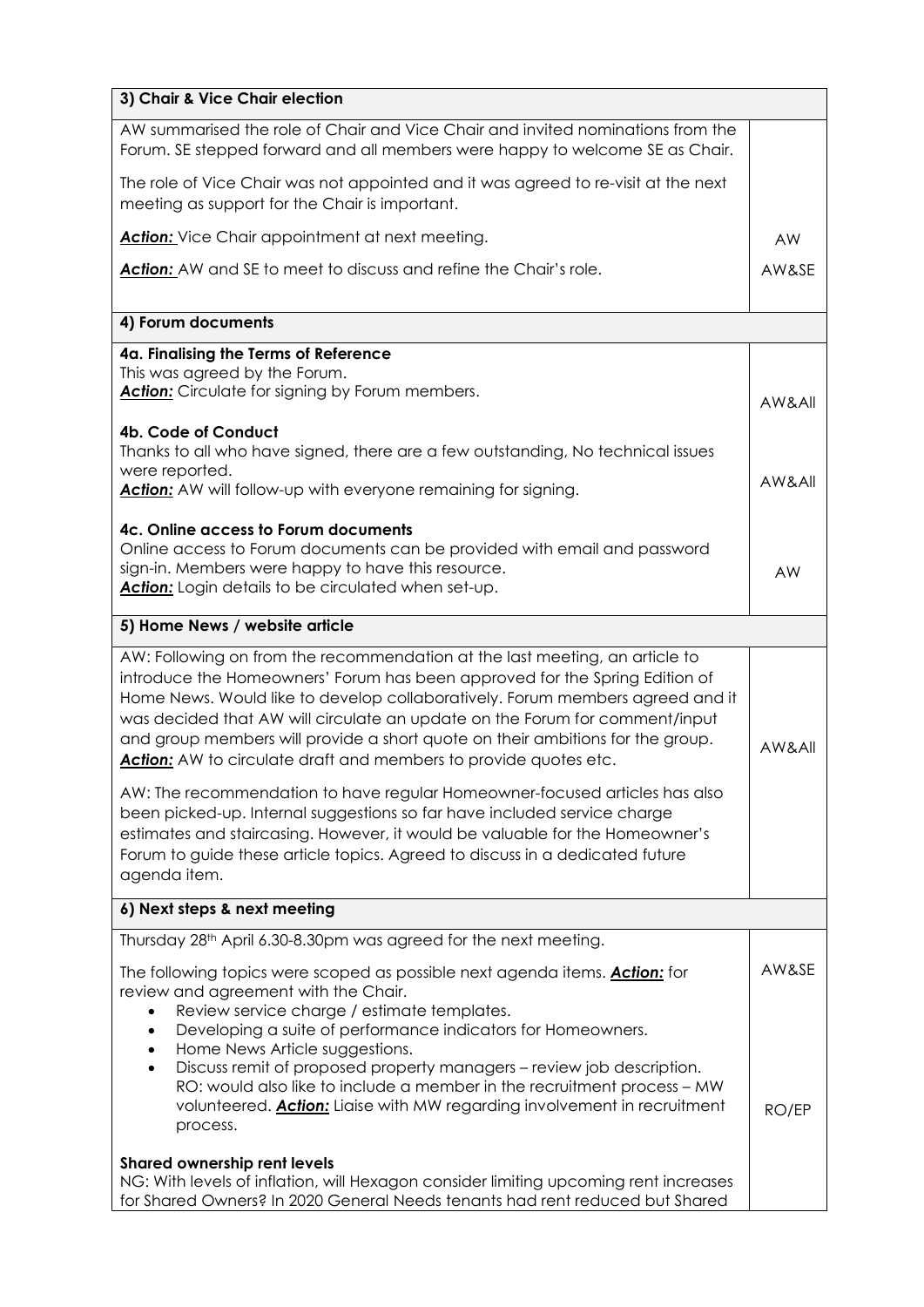| 3) Chair & Vice Chair election                                                                                                                                                                                                                                                                                                                                                                                                                                                                                                                                                                                                                         |                |  |
|--------------------------------------------------------------------------------------------------------------------------------------------------------------------------------------------------------------------------------------------------------------------------------------------------------------------------------------------------------------------------------------------------------------------------------------------------------------------------------------------------------------------------------------------------------------------------------------------------------------------------------------------------------|----------------|--|
| AW summarised the role of Chair and Vice Chair and invited nominations from the<br>Forum. SE stepped forward and all members were happy to welcome SE as Chair.                                                                                                                                                                                                                                                                                                                                                                                                                                                                                        |                |  |
| The role of Vice Chair was not appointed and it was agreed to re-visit at the next<br>meeting as support for the Chair is important.                                                                                                                                                                                                                                                                                                                                                                                                                                                                                                                   |                |  |
| <b>Action:</b> Vice Chair appointment at next meeting.                                                                                                                                                                                                                                                                                                                                                                                                                                                                                                                                                                                                 | <b>AW</b>      |  |
| Action: AW and SE to meet to discuss and refine the Chair's role.                                                                                                                                                                                                                                                                                                                                                                                                                                                                                                                                                                                      | AW&SE          |  |
| 4) Forum documents                                                                                                                                                                                                                                                                                                                                                                                                                                                                                                                                                                                                                                     |                |  |
| 4a. Finalising the Terms of Reference<br>This was agreed by the Forum.<br>Action: Circulate for signing by Forum members.                                                                                                                                                                                                                                                                                                                                                                                                                                                                                                                              | AW&All         |  |
| 4b. Code of Conduct<br>Thanks to all who have signed, there are a few outstanding, No technical issues<br>were reported.<br><b>Action:</b> AW will follow-up with everyone remaining for signing.                                                                                                                                                                                                                                                                                                                                                                                                                                                      | AW&All         |  |
| 4c. Online access to Forum documents<br>Online access to Forum documents can be provided with email and password<br>sign-in. Members were happy to have this resource.<br>Action: Login details to be circulated when set-up.                                                                                                                                                                                                                                                                                                                                                                                                                          | AW             |  |
| 5) Home News / website article                                                                                                                                                                                                                                                                                                                                                                                                                                                                                                                                                                                                                         |                |  |
| AW: Following on from the recommendation at the last meeting, an article to<br>introduce the Homeowners' Forum has been approved for the Spring Edition of<br>Home News. Would like to develop collaboratively. Forum members agreed and it<br>was decided that AW will circulate an update on the Forum for comment/input<br>and group members will provide a short quote on their ambitions for the group.<br>Action: AW to circulate draft and members to provide quotes etc.                                                                                                                                                                       | AW&All         |  |
| AW: The recommendation to have regular Homeowner-focused articles has also<br>been picked-up. Internal suggestions so far have included service charge<br>estimates and staircasing. However, it would be valuable for the Homeowner's<br>Forum to guide these article topics. Agreed to discuss in a dedicated future<br>agenda item.                                                                                                                                                                                                                                                                                                                 |                |  |
| 6) Next steps & next meeting                                                                                                                                                                                                                                                                                                                                                                                                                                                                                                                                                                                                                           |                |  |
| Thursday 28th April 6.30-8.30pm was agreed for the next meeting.<br>The following topics were scoped as possible next agenda items. <b>Action:</b> for<br>review and agreement with the Chair.<br>Review service charge / estimate templates.<br>$\bullet$<br>Developing a suite of performance indicators for Homeowners.<br>$\bullet$<br>Home News Article suggestions.<br>$\bullet$<br>Discuss remit of proposed property managers - review job description.<br>$\bullet$<br>RO: would also like to include a member in the recruitment process - MW<br>volunteered. <b>Action:</b> Liaise with MW regarding involvement in recruitment<br>process. | AW&SE<br>RO/EP |  |
| Shared ownership rent levels<br>NG: With levels of inflation, will Hexagon consider limiting upcoming rent increases<br>for Shared Owners? In 2020 General Needs tenants had rent reduced but Shared                                                                                                                                                                                                                                                                                                                                                                                                                                                   |                |  |